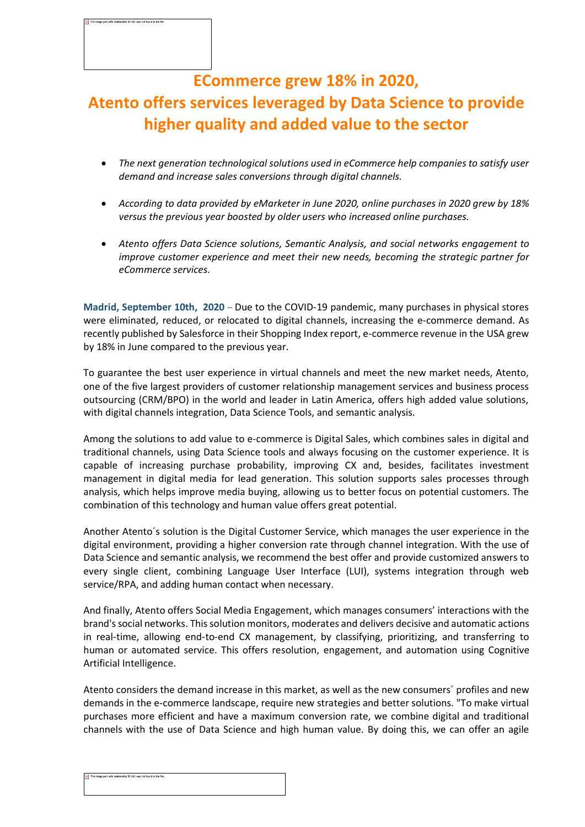## **ECommerce grew 18% in 2020, Atento offers services leveraged by Data Science to provide higher quality and added value to the sector**

- *The next generation technological solutions used in eCommerce help companies to satisfy user demand and increase sales conversions through digital channels.*
- *According to data provided by eMarketer in June 2020, online purchases in 2020 grew by 18% versus the previous year boosted by older users who increased online purchases.*
- *Atento offers Data Science solutions, Semantic Analysis, and social networks engagement to improve customer experience and meet their new needs, becoming the strategic partner for eCommerce services.*

**Madrid, September 10th, 2020** – Due to the COVID-19 pandemic, many purchases in physical stores were eliminated, reduced, or relocated to digital channels, increasing the e-commerce demand. As recently published by Salesforce in their Shopping Index report, e-commerce revenue in the USA grew by 18% in June compared to the previous year.

To guarantee the best user experience in virtual channels and meet the new market needs, Atento, one of the five largest providers of customer relationship management services and business process outsourcing (CRM/BPO) in the world and leader in Latin America, offers high added value solutions, with digital channels integration, Data Science Tools, and semantic analysis.

Among the solutions to add value to e-commerce is Digital Sales, which combines sales in digital and traditional channels, using Data Science tools and always focusing on the customer experience. It is capable of increasing purchase probability, improving CX and, besides, facilitates investment management in digital media for lead generation. This solution supports sales processes through analysis, which helps improve media buying, allowing us to better focus on potential customers. The combination of this technology and human value offers great potential.

Another Atento´s solution is the Digital Customer Service, which manages the user experience in the digital environment, providing a higher conversion rate through channel integration. With the use of Data Science and semantic analysis, we recommend the best offer and provide customized answers to every single client, combining Language User Interface (LUI), systems integration through web service/RPA, and adding human contact when necessary.

And finally, Atento offers Social Media Engagement, which manages consumers' interactions with the brand's social networks. Thissolution monitors, moderates and delivers decisive and automatic actions in real-time, allowing end-to-end CX management, by classifying, prioritizing, and transferring to human or automated service. This offers resolution, engagement, and automation using Cognitive Artificial Intelligence.

Atento considers the demand increase in this market, as well as the new consumers´ profiles and new demands in the e-commerce landscape, require new strategies and better solutions. "To make virtual purchases more efficient and have a maximum conversion rate, we combine digital and traditional channels with the use of Data Science and high human value. By doing this, we can offer an agile

The image part with relationship ID rid1 was not found in the file